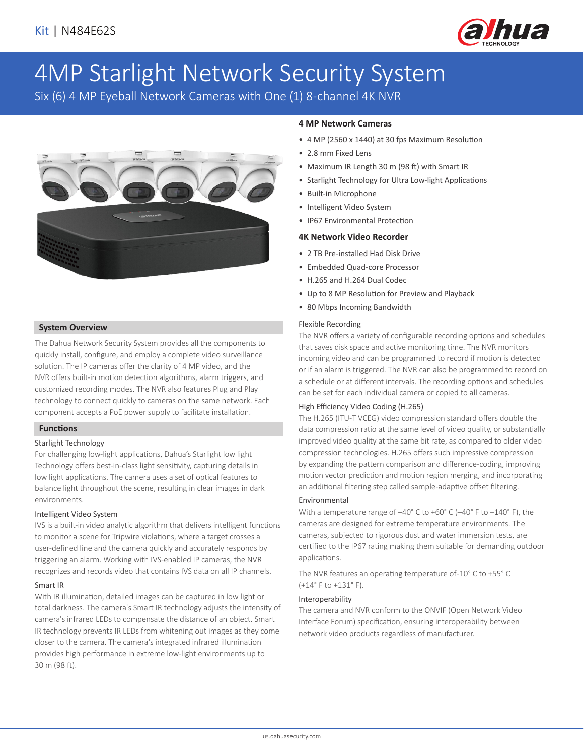

# 4MP Starlight Network Security System

Six (6) 4 MP Eyeball Network Cameras with One (1) 8-channel 4K NVR



# **System Overview**

The Dahua Network Security System provides all the components to quickly install, configure, and employ a complete video surveillance solution. The IP cameras offer the clarity of 4 MP video, and the NVR offers built-in motion detection algorithms, alarm triggers, and customized recording modes. The NVR also features Plug and Play technology to connect quickly to cameras on the same network. Each component accepts a PoE power supply to facilitate installation.

#### **Functions**

#### Starlight Technology

For challenging low-light applications, Dahua's Starlight low light Technology offers best-in-class light sensitivity, capturing details in low light applications. The camera uses a set of optical features to balance light throughout the scene, resulting in clear images in dark environments.

#### Intelligent Video System

IVS is a built-in video analytic algorithm that delivers intelligent functions to monitor a scene for Tripwire violations, where a target crosses a user-defined line and the camera quickly and accurately responds by triggering an alarm. Working with IVS-enabled IP cameras, the NVR recognizes and records video that contains IVS data on all IP channels.

#### Smart IR

With IR illumination, detailed images can be captured in low light or total darkness. The camera's Smart IR technology adjusts the intensity of camera's infrared LEDs to compensate the distance of an object. Smart IR technology prevents IR LEDs from whitening out images as they come closer to the camera. The camera's integrated infrared illumination provides high performance in extreme low-light environments up to 30 m (98 ft).

## **4 MP Network Cameras**

- 4 MP (2560 x 1440) at 30 fps Maximum Resolution
- 2.8 mm Fixed Lens
- Maximum IR Length 30 m (98 ft) with Smart IR
- Starlight Technology for Ultra Low-light Applications
- Built-in Microphone
- Intelligent Video System
- IP67 Environmental Protection

#### **4K Network Video Recorder**

- 2 TB Pre-installed Had Disk Drive
- Embedded Quad-core Processor
- H.265 and H.264 Dual Codec
- Up to 8 MP Resolution for Preview and Playback
- 80 Mbps Incoming Bandwidth

#### Flexible Recording

The NVR offers a variety of configurable recording options and schedules that saves disk space and active monitoring time. The NVR monitors incoming video and can be programmed to record if motion is detected or if an alarm is triggered. The NVR can also be programmed to record on a schedule or at different intervals. The recording options and schedules can be set for each individual camera or copied to all cameras.

#### High Efficiency Video Coding (H.265)

The H.265 (ITU-T VCEG) video compression standard offers double the data compression ratio at the same level of video quality, or substantially improved video quality at the same bit rate, as compared to older video compression technologies. H.265 offers such impressive compression by expanding the pattern comparison and difference-coding, improving motion vector prediction and motion region merging, and incorporating an additional filtering step called sample-adaptive offset filtering.

#### Environmental

With a temperature range of –40° C to +60° C (–40° F to +140° F), the cameras are designed for extreme temperature environments. The cameras, subjected to rigorous dust and water immersion tests, are certified to the IP67 rating making them suitable for demanding outdoor applications.

The NVR features an operating temperature of -10° C to +55° C (+14° F to +131° F).

#### Interoperability

The camera and NVR conform to the ONVIF (Open Network Video Interface Forum) specification, ensuring interoperability between network video products regardless of manufacturer.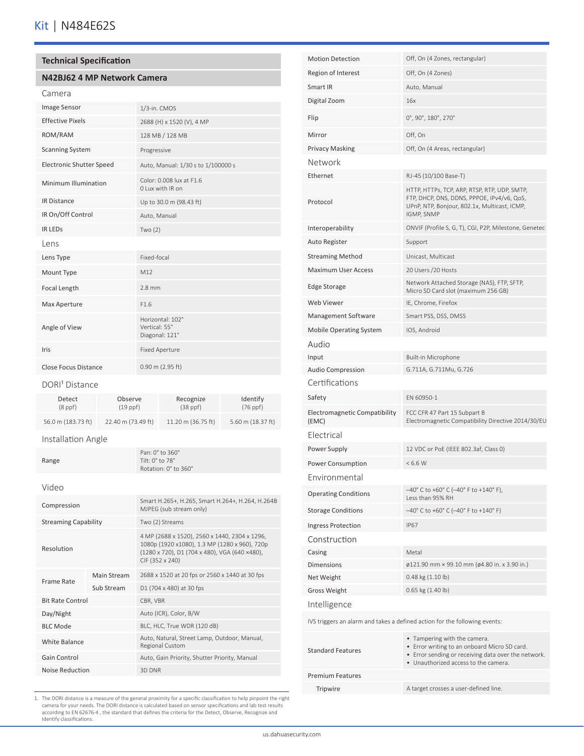### **Technical Specification**

#### **N42BJ62 4 MP Network Camera**

| Camera                          |                                                     |
|---------------------------------|-----------------------------------------------------|
| Image Sensor                    | 1/3-in. CMOS                                        |
| <b>Effective Pixels</b>         | 2688 (H) x 1520 (V), 4 MP                           |
| ROM/RAM                         | 128 MB / 128 MB                                     |
| <b>Scanning System</b>          | Progressive                                         |
| <b>Electronic Shutter Speed</b> | Auto, Manual: 1/30 s to 1/100000 s                  |
| Minimum Illumination            | Color: 0.008 lux at F1.6<br>O Lux with IR on        |
| <b>IR Distance</b>              | Up to 30.0 m (98.43 ft)                             |
| IR On/Off Control               | Auto, Manual                                        |
| <b>IR LEDS</b>                  | Two $(2)$                                           |
| Lens                            |                                                     |
| Lens Type                       | Fixed-focal                                         |
| Mount Type                      | M12                                                 |
| Focal Length                    | $2.8$ mm                                            |
| Max Aperture                    | F1.6                                                |
| Angle of View                   | Horizontal: 102°<br>Vertical: 55°<br>Diagonal: 121° |
| Iris                            | <b>Fixed Aperture</b>                               |
| <b>Close Focus Distance</b>     | $0.90$ m (2.95 ft)                                  |

#### DORI<sup>1</sup> Distance

| Detect             | Observe            | Recognize          | Identify          |
|--------------------|--------------------|--------------------|-------------------|
| $(8$ ppf $)$       | $(19$ ppf $)$      | $(38$ ppf $)$      | $(76$ ppf)        |
| 56.0 m (183.73 ft) | 22.40 m (73.49 ft) | 11.20 m (36.75 ft) | 5.60 m (18.37 ft) |

### Installation Angle

| Range | Pan: $0^\circ$ to $360^\circ$<br>Tilt: 0° to 78°<br>Rotation: 0° to 360° |
|-------|--------------------------------------------------------------------------|
|       |                                                                          |

#### Video

| Compression                 |             | Smart H.265+, H.265, Smart H.264+, H.264, H.264B<br>MJPEG (sub stream only)                                                                                        |
|-----------------------------|-------------|--------------------------------------------------------------------------------------------------------------------------------------------------------------------|
| <b>Streaming Capability</b> |             | Two (2) Streams                                                                                                                                                    |
| Resolution                  |             | 4 MP (2688 x 1520), 2560 x 1440, 2304 x 1296,<br>1080p (1920 x1080), 1.3 MP (1280 x 960), 720p<br>(1280 x 720), D1 (704 x 480), VGA (640 ×480),<br>CIF (352 x 240) |
| Frame Rate                  | Main Stream | 2688 x 1520 at 20 fps or 2560 x 1440 at 30 fps                                                                                                                     |
|                             | Sub Stream  | D1 (704 x 480) at 30 fps                                                                                                                                           |
| <b>Bit Rate Control</b>     |             | CBR, VBR                                                                                                                                                           |
| Day/Night                   |             | Auto (ICR), Color, B/W                                                                                                                                             |
| <b>BLC Mode</b>             |             | BLC, HLC, True WDR (120 dB)                                                                                                                                        |
| White Balance               |             | Auto, Natural, Street Lamp, Outdoor, Manual,<br>Regional Custom                                                                                                    |
| Gain Control                |             | Auto, Gain Priority, Shutter Priority, Manual                                                                                                                      |
| Noise Reduction             |             | 3D DNR                                                                                                                                                             |

| <b>Motion Detection</b>                                                    | Off, On (4 Zones, rectangular)                                                                                                                                              |  |
|----------------------------------------------------------------------------|-----------------------------------------------------------------------------------------------------------------------------------------------------------------------------|--|
| Region of Interest                                                         | Off, On (4 Zones)                                                                                                                                                           |  |
| Smart IR                                                                   | Auto, Manual                                                                                                                                                                |  |
| Digital Zoom                                                               | 16x                                                                                                                                                                         |  |
| Flip                                                                       | 0°, 90°, 180°, 270°                                                                                                                                                         |  |
| Mirror                                                                     | Off, On                                                                                                                                                                     |  |
| <b>Privacy Masking</b>                                                     | Off, On (4 Areas, rectangular)                                                                                                                                              |  |
| Network                                                                    |                                                                                                                                                                             |  |
| Ethernet                                                                   | RJ-45 (10/100 Base-T)                                                                                                                                                       |  |
| Protocol                                                                   | HTTP, HTTPs, TCP, ARP, RTSP, RTP, UDP, SMTP,<br>FTP, DHCP, DNS, DDNS, PPPOE, IPv4/v6, QoS,<br>UPnP, NTP, Bonjour, 802.1x, Multicast, ICMP,<br>IGMP, SNMP                    |  |
| Interoperability                                                           | ONVIF (Profile S, G, T), CGI, P2P, Milestone, Genetec                                                                                                                       |  |
| Auto Register                                                              | Support                                                                                                                                                                     |  |
| <b>Streaming Method</b>                                                    | Unicast, Multicast                                                                                                                                                          |  |
| <b>Maximum User Access</b>                                                 | 20 Users / 20 Hosts                                                                                                                                                         |  |
| <b>Edge Storage</b>                                                        | Network Attached Storage (NAS), FTP, SFTP,<br>Micro SD Card slot (maximum 256 GB)                                                                                           |  |
| Web Viewer                                                                 | IE, Chrome, Firefox                                                                                                                                                         |  |
| Management Software                                                        | Smart PSS, DSS, DMSS                                                                                                                                                        |  |
| <b>Mobile Operating System</b>                                             | IOS, Android                                                                                                                                                                |  |
| Audio                                                                      |                                                                                                                                                                             |  |
| Input                                                                      | Built-in Microphone                                                                                                                                                         |  |
| <b>Audio Compression</b>                                                   | G.711A, G.711Mu, G.726                                                                                                                                                      |  |
| Certifications                                                             |                                                                                                                                                                             |  |
| Safety                                                                     | EN 60950-1                                                                                                                                                                  |  |
| Electromagnetic Compatibility<br>(EMC)                                     | FCC CFR 47 Part 15 Subpart B<br>Electromagnetic Compatibility Directive 2014/30/EU                                                                                          |  |
| Electrical                                                                 |                                                                                                                                                                             |  |
| Power Supply                                                               | 12 VDC or PoE (IEEE 802.3af, Class 0)                                                                                                                                       |  |
| Power Consumption                                                          | < 6.6 W                                                                                                                                                                     |  |
| Environmental                                                              |                                                                                                                                                                             |  |
| <b>Operating Conditions</b>                                                | $-40^{\circ}$ C to +60° C ( $-40^{\circ}$ F to +140° F),<br>Less than 95% RH                                                                                                |  |
| <b>Storage Conditions</b>                                                  | $-40^{\circ}$ C to +60° C (-40° F to +140° F)                                                                                                                               |  |
| <b>Ingress Protection</b>                                                  | <b>IP67</b>                                                                                                                                                                 |  |
| Construction                                                               |                                                                                                                                                                             |  |
| Casing                                                                     | Metal                                                                                                                                                                       |  |
| <b>Dimensions</b>                                                          | ø121.90 mm × 99.10 mm (ø4.80 in. x 3.90 in.)                                                                                                                                |  |
| Net Weight                                                                 | 0.48 kg (1.10 lb)                                                                                                                                                           |  |
| <b>Gross Weight</b>                                                        | 0.65 kg (1.40 lb)                                                                                                                                                           |  |
| Intelligence                                                               |                                                                                                                                                                             |  |
| IVS triggers an alarm and takes a defined action for the following events: |                                                                                                                                                                             |  |
| <b>Standard Features</b>                                                   | • Tampering with the camera.<br>• Error writing to an onboard Micro SD card.<br>• Error sending or receiving data over the network.<br>• Unauthorized access to the camera. |  |

# Premium Features

Tripwire **A** target crosses a user-defined line.

1. The DORI distance is a measure of the general proximity for a specific classification to help pinpoint the right camera for your needs. The DORI distance is calculated based on sensor specifications and lab test results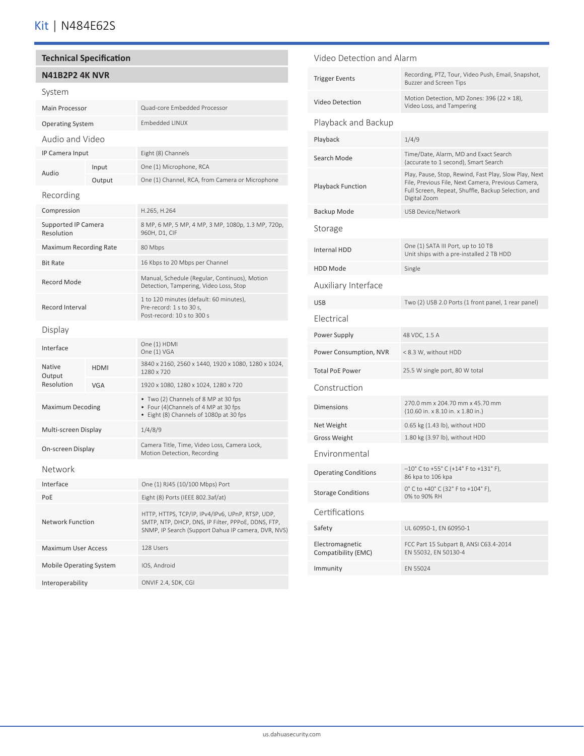# Kit | N484E62S

#### **Technical Specification**

| <b>N41B2P2 4K NVR</b>                    |             |                                                                                                                                                               |
|------------------------------------------|-------------|---------------------------------------------------------------------------------------------------------------------------------------------------------------|
| System                                   |             |                                                                                                                                                               |
| <b>Main Processor</b>                    |             | Quad-core Embedded Processor                                                                                                                                  |
| <b>Operating System</b>                  |             | <b>Embedded LINUX</b>                                                                                                                                         |
| Audio and Video                          |             |                                                                                                                                                               |
| IP Camera Input                          |             | Eight (8) Channels                                                                                                                                            |
| Audio                                    | Input       | One (1) Microphone, RCA                                                                                                                                       |
|                                          | Output      | One (1) Channel, RCA, from Camera or Microphone                                                                                                               |
| Recording                                |             |                                                                                                                                                               |
| Compression                              |             | H.265, H.264                                                                                                                                                  |
| <b>Supported IP Camera</b><br>Resolution |             | 8 MP, 6 MP, 5 MP, 4 MP, 3 MP, 1080p, 1.3 MP, 720p,<br>960H, D1, CIF                                                                                           |
| <b>Maximum Recording Rate</b>            |             | 80 Mbps                                                                                                                                                       |
| <b>Bit Rate</b>                          |             | 16 Kbps to 20 Mbps per Channel                                                                                                                                |
| Record Mode                              |             | Manual, Schedule (Regular, Continuos), Motion<br>Detection, Tampering, Video Loss, Stop                                                                       |
| Record Interval                          |             | 1 to 120 minutes (default: 60 minutes),<br>Pre-record: 1 s to 30 s,<br>Post-record: 10 s to 300 s                                                             |
| Display                                  |             |                                                                                                                                                               |
| Interface                                |             | One (1) HDMI<br>One (1) VGA                                                                                                                                   |
| Native<br>Output                         | <b>HDMI</b> | 3840 x 2160, 2560 x 1440, 1920 x 1080, 1280 x 1024,<br>1280 x 720                                                                                             |
| Resolution                               | <b>VGA</b>  | 1920 x 1080, 1280 x 1024, 1280 x 720                                                                                                                          |
| <b>Maximum Decoding</b>                  |             | • Two (2) Channels of 8 MP at 30 fps<br>• Four (4)Channels of 4 MP at 30 fps<br>• Eight (8) Channels of 1080p at 30 fps                                       |
| Multi-screen Display                     |             | 1/4/8/9                                                                                                                                                       |
| On-screen Display                        |             | Camera Title, Time, Video Loss, Camera Lock,<br>Motion Detection, Recording                                                                                   |
| Network                                  |             |                                                                                                                                                               |
| Interface                                |             | One (1) RJ45 (10/100 Mbps) Port                                                                                                                               |
| PoE                                      |             | Eight (8) Ports (IEEE 802.3af/at)                                                                                                                             |
| <b>Network Function</b>                  |             | HTTP, HTTPS, TCP/IP, IPv4/IPv6, UPnP, RTSP, UDP,<br>SMTP, NTP, DHCP, DNS, IP Filter, PPPoE, DDNS, FTP,<br>SNMP, IP Search (Support Dahua IP camera, DVR, NVS) |
| <b>Maximum User Access</b>               |             | 128 Users                                                                                                                                                     |
| <b>Mobile Operating System</b>           |             | IOS, Android                                                                                                                                                  |
| Interoperability                         |             | ONVIF 2.4, SDK, CGI                                                                                                                                           |

Video Detection and Alarm Trigger Events Recording, PTZ, Tour, Video Push, Email, Snapshot, Buzzer and Screen Tips Video Detection Motion Detection, MD Zones: 396 (22 × 18), Video Loss, and Tampering Playback and Backup Playback 1/4/9 Search Mode<br>
Search Mode<br>
(acquired to 1 second) Smart Search (accurate to 1 second), Smart Search Playback Function Play, Pause, Stop, Rewind, Fast Play, Slow Play, Next File, Previous File, Next Camera, Previous Camera, Full Screen, Repeat, Shuffle, Backup Selection, and Digital Zoom Backup Mode USB Device/Network Storage Internal HDD One (1) SATA III Port, up to 10 TB Unit ships with a pre-installed 2 TB HDD HDD Mode Single Auxiliary Interface USB Two (2) USB 2.0 Ports (1 front panel, 1 rear panel) Electrical Power Supply 48 VDC, 1.5 A Power Consumption, NVR < 8.3 W, without HDD Total PoE Power 25.5 W single port, 80 W total Construction Dimensions 270.0 mm x 204.70 mm x 45.70 mm (10.60 in. x 8.10 in. x 1.80 in.) Net Weight 0.65 kg (1.43 lb), without HDD Gross Weight 1.80 kg (3.97 lb), without HDD Environmental Operating Conditions  $-10^{\circ}$  C to +55° C (+14° F to +131° F),<br>86 kp3 to 106 kp3 86 kpa to 106 kpa Storage Conditions  $0^{\circ}$  C to +40° C (32° F to +104° F),<br> $0^{\circ}$  to  $0^{\circ}$  F H 0% to 90% RH Certifications Safety UL 60950-1, EN 60950-1 Electromagnetic Compatibility (EMC) FCC Part 15 Subpart B, ANSI C63.4-2014 EN 55032, EN 50130-4 Immunity EN 55024